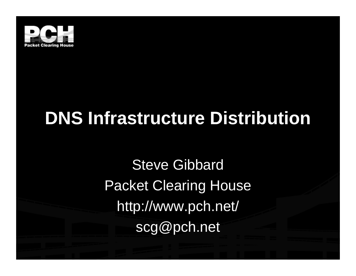

## **DNS Infrastructure Distribution**

Steve Gibbard Packet Clearing House http://www.pch.net/ scg@pch.net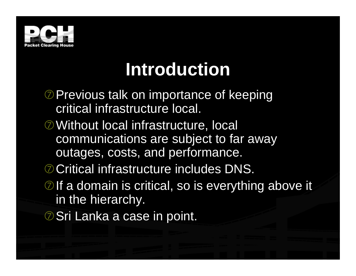

## **Introduction**

- **D** Previous talk on importance of keeping critical infrastructure local.
- $\oslash$  **Without local infrastructure, local** communications are subject to far away outages, costs, and performance.
- **O Critical infrastructure includes DNS.**
- $\oslash$  If a domain is critical, so is everything above it in the hierarchy.
- **ØSri Lanka a case in point.**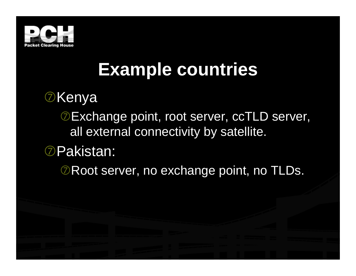![](_page_2_Picture_0.jpeg)

## **Example countries**

### *<b>DKenya*

**DExchange point, root server, ccTLD server,** all external connectivity by satellite.

### iPakistan:

*ORoot server, no exchange point, no TLDs.*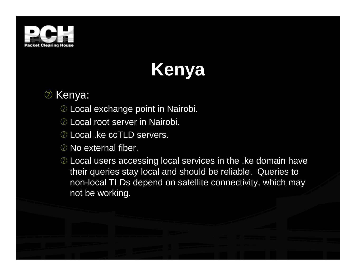![](_page_3_Picture_0.jpeg)

# **Kenya**

**Z** Kenya:

- $\oslash$  Local exchange point in Nairobi.
- **D** Local root server in Nairobi.
- **D** Local .ke ccTLD servers.
- $\oslash$  No external fiber.
- $\oslash$  Local users accessing local services in the .ke domain have their queries stay local and should be reliable. Queries to non-local TLDs depend on satellite connectivity, which may not be working.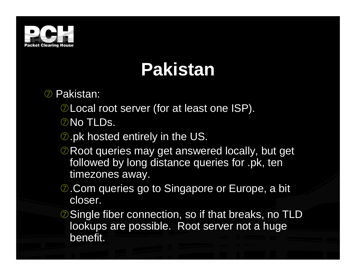![](_page_4_Picture_0.jpeg)

## **Pakistan**

- **2** Pakistan:
	- **ØLocal root server (for at least one ISP).**
	- **ONo TLDs.**
	- **2.pk hosted entirely in the US.**
	- $\oslash$  Root queries may get answered locally, but get followed by long distance queries for .pk, ten timezones away.
	- $\oslash$ **. Com queries go to Singapore or Europe, a bit** closer.
	- *O* Single fiber connection, so if that breaks, no TLD lookups are possible. Root server not a huge benefit.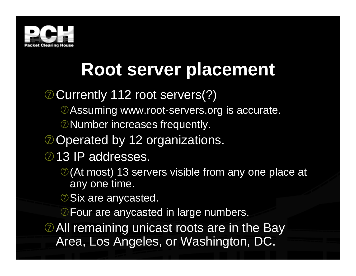![](_page_5_Picture_0.jpeg)

## **Root server placement**

#### **O Currently 112 root servers(?)**

- **Ø Assuming www.root-servers.org is accurate.**
- **O** Number increases frequently.
- **ODerated by 12 organizations.**

#### 213 IP addresses.

- $\oslash$  (At most) 13 servers visible from any one place at any one time.
- **D** Six are anycasted.
- **DFour are any casted in large numbers.**

 $\oslash$  All remaining unicast roots are in the Bay Area, Los Angeles, or Washington, DC.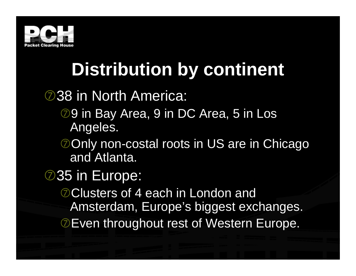![](_page_6_Picture_0.jpeg)

# **Distribution by continent**

### **238 in North America:**

- **29 in Bay Area, 9 in DC Area, 5 in Los** Angeles.
- **DOnly non-costal roots in US are in Chicago** and Atlanta.

### 235 in Europe:

**OClusters of 4 each in London and** Amsterdam, Europe's biggest exchanges. *O***Even throughout rest of Western Europe.**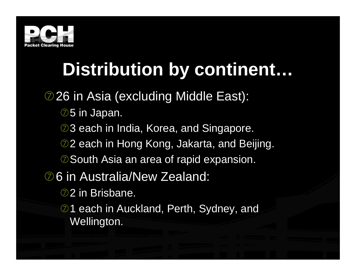![](_page_7_Picture_0.jpeg)

## **Distribution by continent…**

#### **26 in Asia (excluding Middle East):**

- $\oslash$  5 in Japan.
- 23 each in India, Korea, and Singapore.
- **22 each in Hong Kong, Jakarta, and Beijing.**
- *O* South Asia an area of rapid expansion.
- **26 in Australia/New Zealand:** 
	- 2 in Brisbane.
	- **21 each in Auckland, Perth, Sydney, and** Wellington.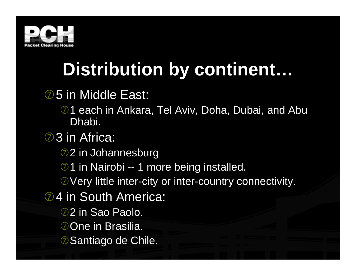![](_page_8_Picture_0.jpeg)

## **Distribution by continent…**

#### **25** in Middle East:

- 21 each in Ankara, Tel Aviv, Doha, Dubai, and Abu Dhabi.
- **②3** in Africa:
	- 22 in Johannesburg
	- 21 in Nairobi -- 1 more being installed.
	- **OVery little inter-city or inter-country connectivity.**
- **24 in South America:** 
	- **2** in Sao Paolo.
	- **Oone in Brasilia.**
	- **2 Santiago de Chile.**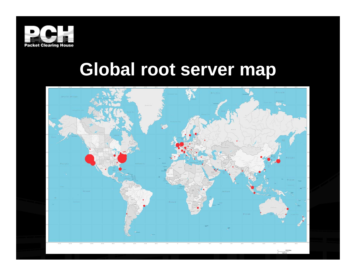![](_page_9_Picture_0.jpeg)

### **Global root server map**

![](_page_9_Figure_2.jpeg)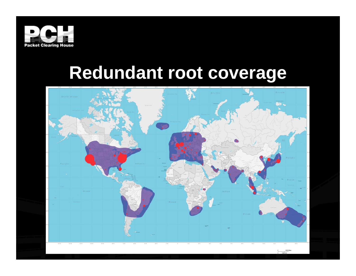![](_page_10_Picture_0.jpeg)

### **Redundant root coverage**

![](_page_10_Figure_2.jpeg)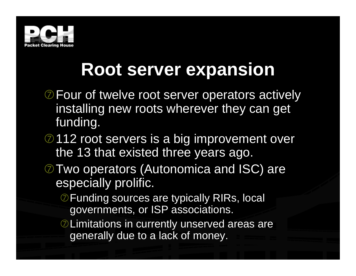![](_page_11_Picture_0.jpeg)

### **Root server expansion**

- **D** Four of twelve root server operators actively installing new roots wherever they can get funding.
- 2112 root servers is a big improvement over the 13 that existed three years ago.
- $\oslash$  Two operators (Autonomica and ISC) are especially prolific.
	- **DEunding sources are typically RIRs, local** governments, or ISP associations.
	- $\oslash$  Limitations in currently unserved areas are generally due to a lack of money.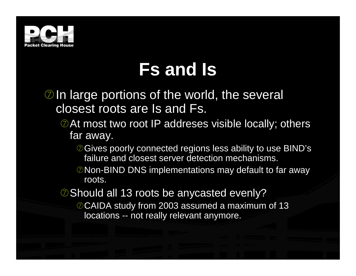![](_page_12_Picture_0.jpeg)

## **Fs and Is**

- $\oslash$  In large portions of the world, the several closest roots are Is and Fs.
	- $\oslash$  At most two root IP addreses visible locally; others far away.
		- *OGives poorly connected regions less ability to use BIND's* failure and closest server detection mechanisms.
		- *ONon-BIND DNS implementations may default to far away* roots.
	- $\oslash$  Should all 13 roots be anycasted evenly?

© CAIDA study from 2003 assumed a maximum of 13 locations -- not really relevant anymore.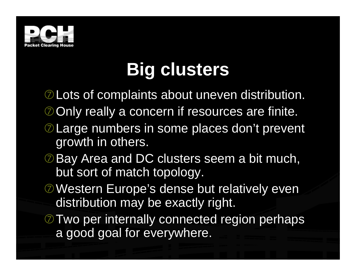![](_page_13_Picture_0.jpeg)

## **Big clusters**

**ØLots of complaints about uneven distribution.** 

- **OOnly really a concern if resources are finite.**
- **D** Large numbers in some places don't prevent growth in others.
- *O* Bay Area and DC clusters seem a bit much, but sort of match topology.
- **EXA Western Europe's dense but relatively even** distribution may be exactly right.
- **Two per internally connected region perhaps** a good goal for everywhere.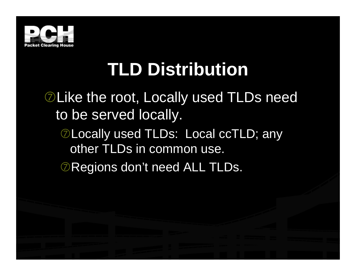![](_page_14_Picture_0.jpeg)

## **TLD Distribution**

### **ØLike the root, Locally used TLDs need** to be served locally.

**ØLocally used TLDs: Local ccTLD; any** other TLDs in common use.

*O***Regions don't need ALL TLDs.**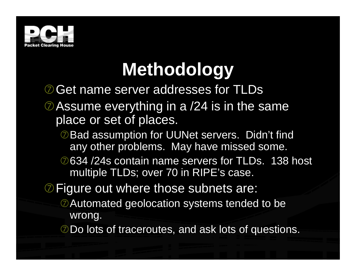![](_page_15_Picture_0.jpeg)

# **Methodology**

**OGet name server addresses for TLDs** 

- $\oslash$  Assume everything in a /24 is in the same place or set of places.
	- **DBad assumption for UUNet servers. Didn't find** any other problems. May have missed some.
	- i634 /24s contain name servers for TLDs. 138 host multiple TLDs; over 70 in RIPE's case.
- $\oslash$  Figure out where those subnets are:
	- **EXU Automated geolocation systems tended to be** wrong.
	- **Do lots of traceroutes, and ask lots of questions.**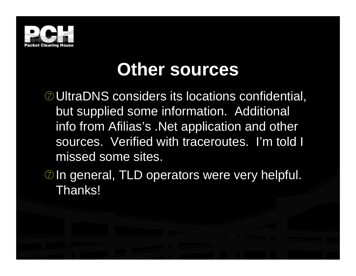![](_page_16_Picture_0.jpeg)

### **Other sources**

**ØUltraDNS considers its locations confidential,** but supplied some information. Additional info from Afilias's .Net application and other sources. Verified with traceroutes. I'm told I missed some sites.

 $\oslash$  In general, TLD operators were very helpful. Thanks!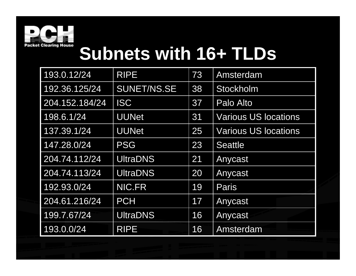![](_page_17_Picture_0.jpeg)

## **Subnets with 16+ TLDs**

| 193.0.12/24    | <b>RIPE</b>        | 73 | Amsterdam                   |
|----------------|--------------------|----|-----------------------------|
| 192.36.125/24  | <b>SUNET/NS.SE</b> | 38 | Stockholm                   |
| 204.152.184/24 | <b>ISC</b>         | 37 | Palo Alto                   |
| 198.6.1/24     | <b>UUNet</b>       | 31 | <b>Various US locations</b> |
| 137.39.1/24    | <b>UUNet</b>       | 25 | <b>Various US locations</b> |
| 147.28.0/24    | <b>PSG</b>         | 23 | <b>Seattle</b>              |
| 204.74.112/24  | <b>UltraDNS</b>    | 21 | Anycast                     |
| 204.74.113/24  | <b>UltraDNS</b>    | 20 | Anycast                     |
| 192.93.0/24    | NIC FR             | 19 | <b>Paris</b>                |
| 204.61.216/24  | <b>PCH</b>         | 17 | Anycast                     |
| 199.7.67/24    | <b>UltraDNS</b>    | 16 | Anycast                     |
| 193.0.0/24     | <b>RIPE</b>        | 16 | Amsterdam                   |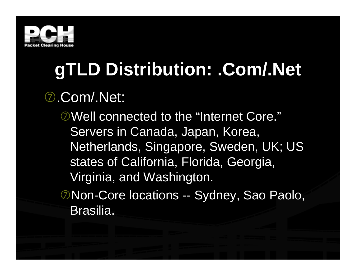![](_page_18_Picture_0.jpeg)

# **gTLD Distribution: .Com/.Net**

### i.Com/.Net:

**EXAMEL CONNECTED TO the "Internet Core."** Servers in Canada, Japan, Korea, Netherlands, Singapore, Sweden, UK; US states of California, Florida, Georgia, Virginia, and Washington.

**ØNon-Core locations -- Sydney, Sao Paolo,** Brasilia.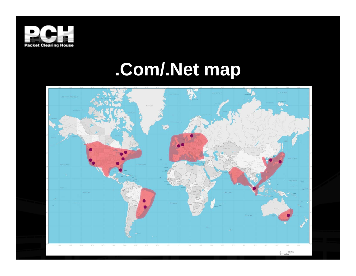![](_page_19_Picture_0.jpeg)

## **.Com/.Net map**

![](_page_19_Figure_2.jpeg)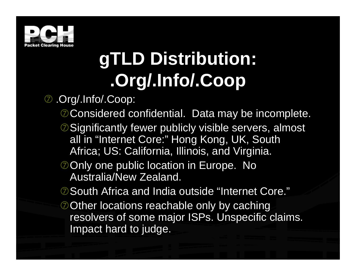![](_page_20_Picture_0.jpeg)

# **gTLD Distribution: .Org/.Info/.Coop**

i .Org/.Info/.Coop:

- © Considered confidential. Data may be incomplete.
- $\oslash$  Significantly fewer publicly visible servers, almost all in "Internet Core:" Hong Kong, UK, South Africa; US: California, Illinois, and Virginia.
- **OOnly one public location in Europe. No** Australia/New Zealand.
- *©* **South Africa and India outside "Internet Core."**
- **Other locations reachable only by caching** resolvers of some major ISPs. Unspecific claims. Impact hard to judge.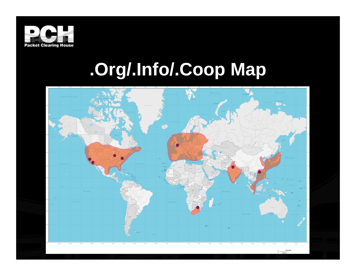![](_page_21_Picture_0.jpeg)

## **.Org/.Info/.Coop Map**

![](_page_21_Figure_2.jpeg)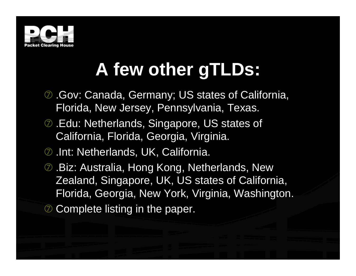![](_page_22_Picture_0.jpeg)

## **A few other gTLDs:**

- **2. Gov: Canada, Germany; US states of California,** Florida, New Jersey, Pennsylvania, Texas.
- $\oslash$  **. Edu: Netherlands, Singapore, US states of** California, Florida, Georgia, Virginia.
- **2.** Int: Netherlands, UK, California.
- **2. Biz: Australia, Hong Kong, Netherlands, New** Zealand, Singapore, UK, US states of California, Florida, Georgia, New York, Virginia, Washington.
- $\oslash$  **Complete listing in the paper.**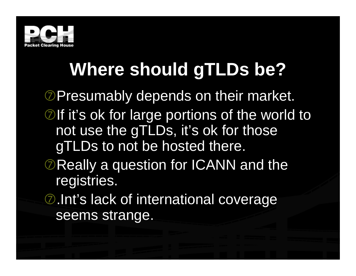![](_page_23_Picture_0.jpeg)

# **Where should gTLDs be?**

**E**Presumably depends on their market.

- $\oslash$  If it's ok for large portions of the world to not use the gTLDs, it's ok for those gTLDs to not be hosted there.
- $\oslash$  Really a question for ICANN and the registries.
- $\oslash$ **.** Int's lack of international coverage seems strange.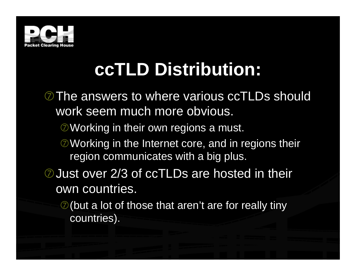![](_page_24_Picture_0.jpeg)

## **ccTLD Distribution:**

**The answers to where various ccTLDs should** work seem much more obvious.

 $\oslash$  Working in their own regions a must.

 $\oslash$  Working in the Internet core, and in regions their region communicates with a big plus.

**O** Just over 2/3 of ccTLDs are hosted in their own countries.

 $\oslash$  (but a lot of those that aren't are for really tiny countries).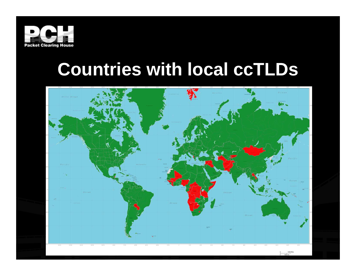![](_page_25_Picture_0.jpeg)

### **Countries with local ccTLDs**

![](_page_25_Figure_2.jpeg)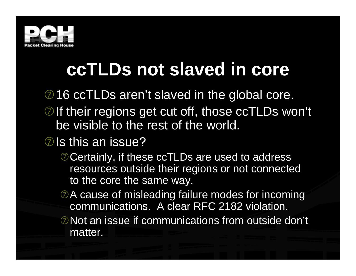![](_page_26_Picture_0.jpeg)

## **ccTLDs not slaved in core**

- 216 ccTLDs aren't slaved in the global core.
- $\oslash$  If their regions get cut off, those ccTLDs won't be visible to the rest of the world.
- $\oslash$  Is this an issue?
	- © Certainly, if these ccTLDs are used to address resources outside their regions or not connected to the core the same way.
	- $\oslash$  A cause of misleading failure modes for incoming communications. A clear RFC 2182 violation.
	- $\oslash$  Not an issue if communications from outside don't matter.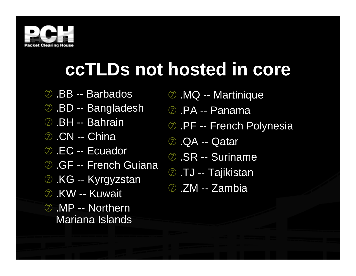![](_page_27_Picture_0.jpeg)

## **ccTLDs not hosted in core**

- i .BB -- Barbados
- **2.BD -- Bangladesh**
- 2 BH -- Bahrain
- **2** CN -- China
- 2 .EC -- Ecuador
- **2** GF -- French Guiana
- **2 KG -- Kyrgyzstan**
- **2.KW -- Kuwait**
- **2** MP -- Northern Mariana Islands
- **2. MQ -- Martinique**
- i .PA -- Panama
- **2 PF -- French Polynesia**
- **2** QA -- Qatar
- 2 SR -- Suriname
- **2** TJ -- Tajikistan
- 2 ZM -- Zambia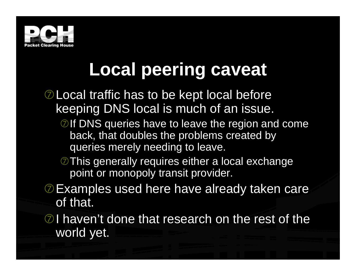![](_page_28_Picture_0.jpeg)

# **Local peering caveat**

- $\oslash$  Local traffic has to be kept local before keeping DNS local is much of an issue.
	- **Ølf DNS queries have to leave the region and come** back, that doubles the problems created by queries merely needing to leave.
	- This generally requires either a local exchange point or monopoly transit provider.
- **DExamples used here have already taken care** of that.
- $\oslash$  I haven't done that research on the rest of the world yet.